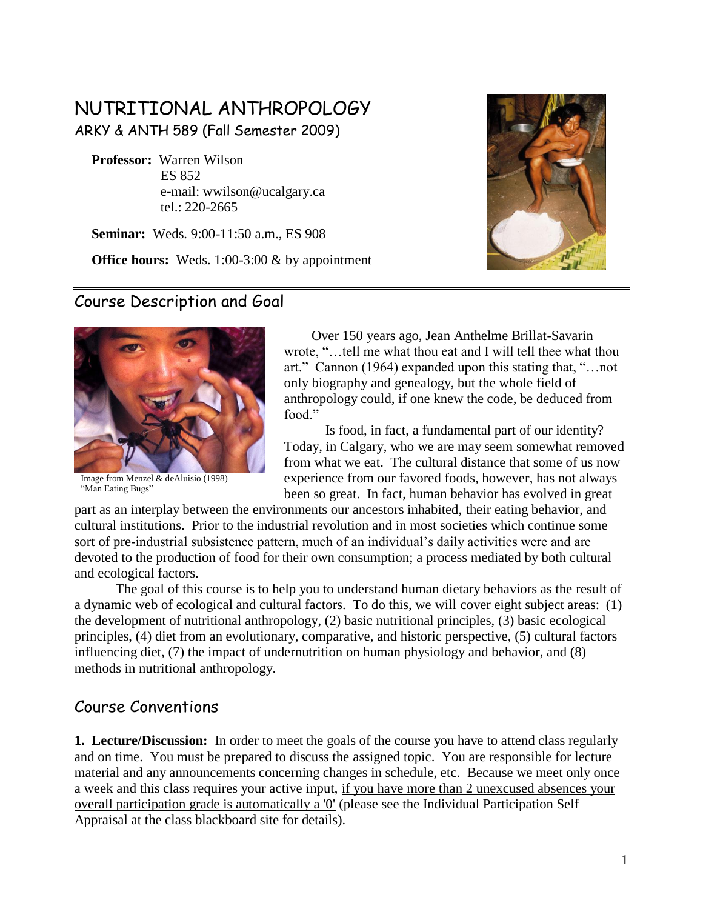# NUTRITIONAL ANTHROPOLOGY

ARKY & ANTH 589 (Fall Semester 2009)

 **Professor:** Warren Wilson ES 852 e-mail: wwilson@ucalgary.ca tel.: 220-2665

 **Seminar:** Weds. 9:00-11:50 a.m., ES 908

**Office hours:** Weds. 1:00-3:00 & by appointment



### Course Description and Goal



Image from Menzel & deAluisio (1998) "Man Eating Bugs"

 Over 150 years ago, Jean Anthelme Brillat-Savarin wrote, "…tell me what thou eat and I will tell thee what thou art." Cannon (1964) expanded upon this stating that, "…not only biography and genealogy, but the whole field of anthropology could, if one knew the code, be deduced from food."

Is food, in fact, a fundamental part of our identity? Today, in Calgary, who we are may seem somewhat removed from what we eat. The cultural distance that some of us now experience from our favored foods, however, has not always been so great. In fact, human behavior has evolved in great

part as an interplay between the environments our ancestors inhabited, their eating behavior, and cultural institutions. Prior to the industrial revolution and in most societies which continue some sort of pre-industrial subsistence pattern, much of an individual"s daily activities were and are devoted to the production of food for their own consumption; a process mediated by both cultural and ecological factors.

The goal of this course is to help you to understand human dietary behaviors as the result of a dynamic web of ecological and cultural factors. To do this, we will cover eight subject areas: (1) the development of nutritional anthropology, (2) basic nutritional principles, (3) basic ecological principles, (4) diet from an evolutionary, comparative, and historic perspective, (5) cultural factors influencing diet, (7) the impact of undernutrition on human physiology and behavior, and (8) methods in nutritional anthropology.

## Course Conventions

**1. Lecture/Discussion:**In order to meet the goals of the course you have to attend class regularly and on time. You must be prepared to discuss the assigned topic. You are responsible for lecture material and any announcements concerning changes in schedule, etc. Because we meet only once a week and this class requires your active input, if you have more than 2 unexcused absences your overall participation grade is automatically a '0' (please see the Individual Participation Self Appraisal at the class blackboard site for details).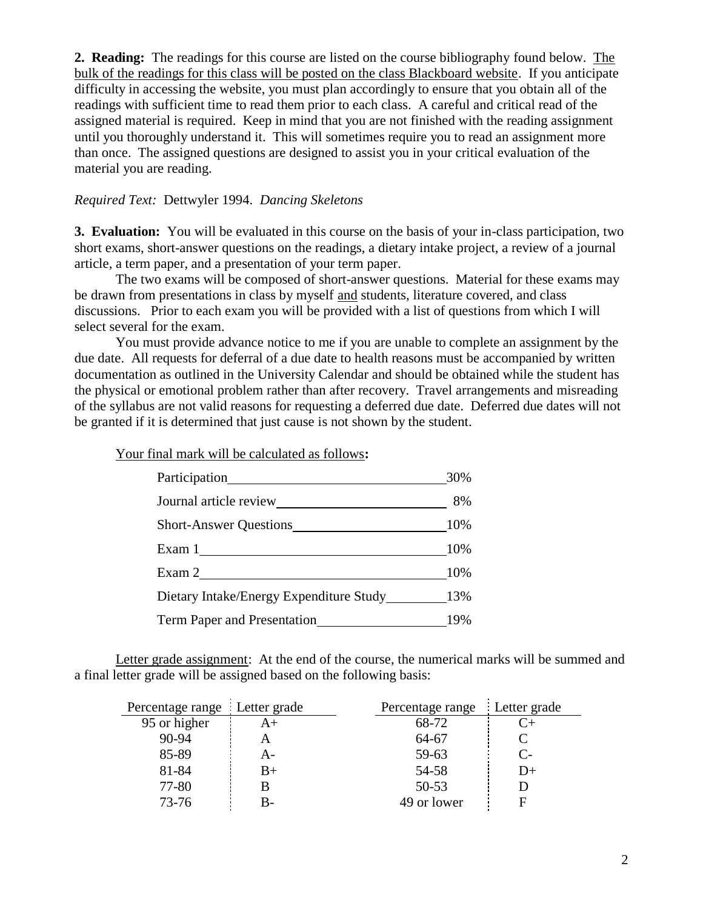**2. Reading:** The readings for this course are listed on the course bibliography found below. The bulk of the readings for this class will be posted on the class Blackboard website. If you anticipate difficulty in accessing the website, you must plan accordingly to ensure that you obtain all of the readings with sufficient time to read them prior to each class. A careful and critical read of the assigned material is required. Keep in mind that you are not finished with the reading assignment until you thoroughly understand it. This will sometimes require you to read an assignment more than once. The assigned questions are designed to assist you in your critical evaluation of the material you are reading.

#### *Required Text:* Dettwyler 1994. *Dancing Skeletons*

**3. Evaluation:** You will be evaluated in this course on the basis of your in-class participation, two short exams, short-answer questions on the readings, a dietary intake project, a review of a journal article, a term paper, and a presentation of your term paper.

The two exams will be composed of short-answer questions. Material for these exams may be drawn from presentations in class by myself and students, literature covered, and class discussions. Prior to each exam you will be provided with a list of questions from which I will select several for the exam.

You must provide advance notice to me if you are unable to complete an assignment by the due date. All requests for deferral of a due date to health reasons must be accompanied by written documentation as outlined in the University Calendar and should be obtained while the student has the physical or emotional problem rather than after recovery. Travel arrangements and misreading of the syllabus are not valid reasons for requesting a deferred due date. Deferred due dates will not be granted if it is determined that just cause is not shown by the student.

Your final mark will be calculated as follows**:**

|                                             | 30%   |
|---------------------------------------------|-------|
| Journal article review                      | 8%    |
| Short-Answer Questions 10%                  |       |
| Exam $1$ and $\sim$                         | 10%   |
| Exam 2                                      | - 10% |
| Dietary Intake/Energy Expenditure Study 13% |       |
| Term Paper and Presentation 19%             |       |

Letter grade assignment: At the end of the course, the numerical marks will be summed and a final letter grade will be assigned based on the following basis:

| Percentage range Letter grade |      | Percentage range Letter grade |           |
|-------------------------------|------|-------------------------------|-----------|
| 95 or higher                  | $A+$ | 68-72                         | $C_{\pm}$ |
| 90-94                         | Α    | 64-67                         |           |
| 85-89                         | А-   | 59-63                         | $C_{\Xi}$ |
| 81-84                         | $B+$ | 54-58                         | $D+$      |
| 77-80                         | В    | $50 - 53$                     |           |
| 73-76                         | В-   | 49 or lower                   |           |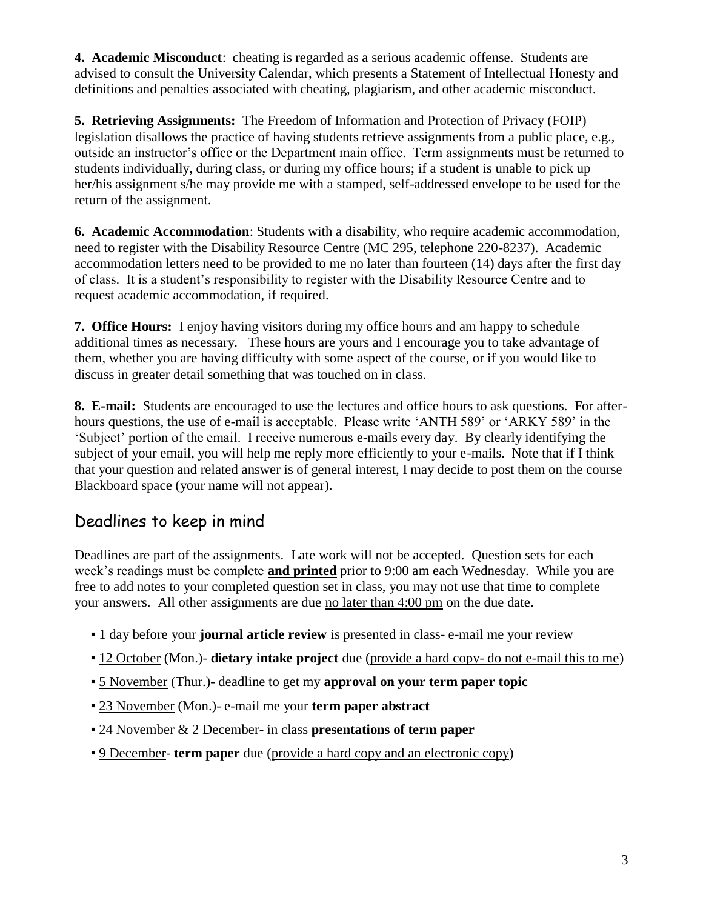**4. Academic Misconduct**: cheating is regarded as a serious academic offense. Students are advised to consult the University Calendar, which presents a Statement of Intellectual Honesty and definitions and penalties associated with cheating, plagiarism, and other academic misconduct.

**5. Retrieving Assignments:** The Freedom of Information and Protection of Privacy (FOIP) legislation disallows the practice of having students retrieve assignments from a public place, e.g., outside an instructor"s office or the Department main office. Term assignments must be returned to students individually, during class, or during my office hours; if a student is unable to pick up her/his assignment s/he may provide me with a stamped, self-addressed envelope to be used for the return of the assignment.

**6. Academic Accommodation**: Students with a disability, who require academic accommodation, need to register with the Disability Resource Centre (MC 295, telephone 220-8237). Academic accommodation letters need to be provided to me no later than fourteen (14) days after the first day of class. It is a student"s responsibility to register with the Disability Resource Centre and to request academic accommodation, if required.

**7. Office Hours:**I enjoy having visitors during my office hours and am happy to schedule additional times as necessary. These hours are yours and I encourage you to take advantage of them, whether you are having difficulty with some aspect of the course, or if you would like to discuss in greater detail something that was touched on in class.

**8. E-mail:** Students are encouraged to use the lectures and office hours to ask questions. For afterhours questions, the use of e-mail is acceptable. Please write 'ANTH 589' or 'ARKY 589' in the "Subject" portion of the email. I receive numerous e-mails every day. By clearly identifying the subject of your email, you will help me reply more efficiently to your e-mails. Note that if I think that your question and related answer is of general interest, I may decide to post them on the course Blackboard space (your name will not appear).

# Deadlines to keep in mind

Deadlines are part of the assignments. Late work will not be accepted. Question sets for each week"s readings must be complete **and printed** prior to 9:00 am each Wednesday. While you are free to add notes to your completed question set in class, you may not use that time to complete your answers. All other assignments are due no later than 4:00 pm on the due date.

- 1 day before your **journal article review** is presented in class- e-mail me your review
- 12 October (Mon.)- **dietary intake project** due (provide a hard copy- do not e-mail this to me)
- 5 November (Thur.)- deadline to get my **approval on your term paper topic**
- 23 November (Mon.)- e-mail me your **term paper abstract**
- 24 November & 2 December- in class **presentations of term paper**
- 9 December- **term paper** due (provide a hard copy and an electronic copy)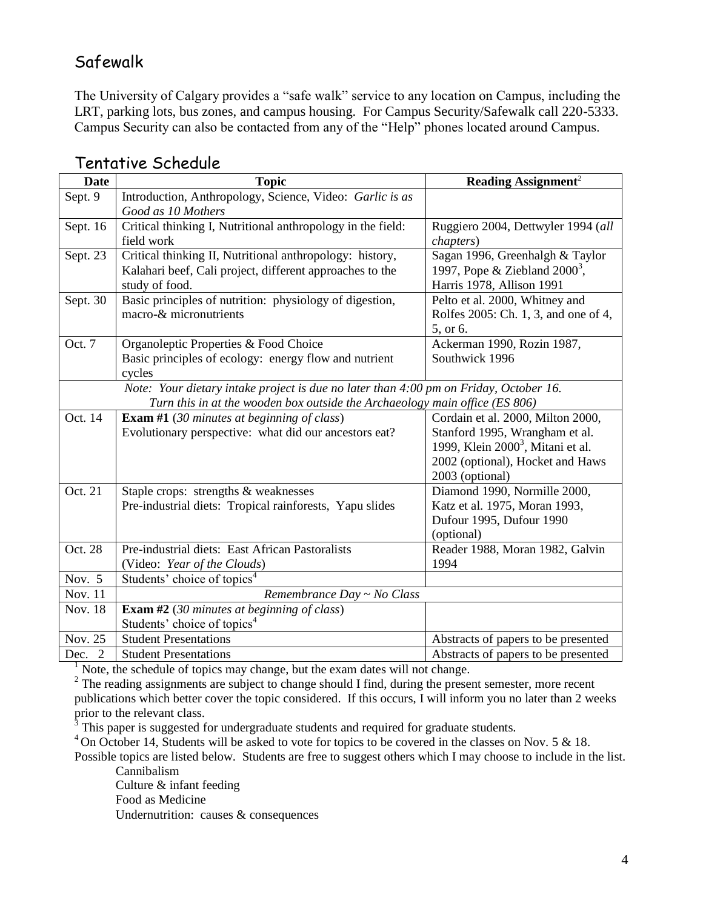## Safewalk

The University of Calgary provides a "safe walk" service to any location on Campus, including the LRT, parking lots, bus zones, and campus housing. For Campus Security/Safewalk call 220-5333. Campus Security can also be contacted from any of the "Help" phones located around Campus.

| <b>Date</b>                                                                           | <b>Topic</b>                                                                | <b>Reading Assignment<sup>2</sup></b> |
|---------------------------------------------------------------------------------------|-----------------------------------------------------------------------------|---------------------------------------|
| Sept. 9                                                                               | Introduction, Anthropology, Science, Video: Garlic is as                    |                                       |
|                                                                                       | Good as 10 Mothers                                                          |                                       |
| Sept. 16                                                                              | Critical thinking I, Nutritional anthropology in the field:                 | Ruggiero 2004, Dettwyler 1994 (all    |
|                                                                                       | field work                                                                  | <i>chapters</i> )                     |
| Sept. 23                                                                              | Critical thinking II, Nutritional anthropology: history,                    | Sagan 1996, Greenhalgh & Taylor       |
|                                                                                       | Kalahari beef, Cali project, different approaches to the                    | 1997, Pope & Ziebland $2000^3$ ,      |
|                                                                                       | study of food.                                                              | Harris 1978, Allison 1991             |
| Sept. 30                                                                              | Basic principles of nutrition: physiology of digestion,                     | Pelto et al. 2000, Whitney and        |
|                                                                                       | macro-& micronutrients                                                      | Rolfes 2005: Ch. 1, 3, and one of 4,  |
|                                                                                       |                                                                             | 5, or 6.                              |
| Oct. 7                                                                                | Organoleptic Properties & Food Choice                                       | Ackerman 1990, Rozin 1987,            |
|                                                                                       | Basic principles of ecology: energy flow and nutrient                       | Southwick 1996                        |
|                                                                                       | cycles                                                                      |                                       |
| Note: Your dietary intake project is due no later than 4:00 pm on Friday, October 16. |                                                                             |                                       |
|                                                                                       | Turn this in at the wooden box outside the Archaeology main office (ES 806) |                                       |
| Oct. 14                                                                               | <b>Exam #1</b> (30 minutes at beginning of class)                           | Cordain et al. 2000, Milton 2000,     |
|                                                                                       | Evolutionary perspective: what did our ancestors eat?                       | Stanford 1995, Wrangham et al.        |
|                                                                                       |                                                                             | 1999, Klein $20003$ , Mitani et al.   |
|                                                                                       |                                                                             | 2002 (optional), Hocket and Haws      |
|                                                                                       |                                                                             | 2003 (optional)                       |
| Oct. 21                                                                               | Staple crops: strengths & weaknesses                                        | Diamond 1990, Normille 2000,          |
|                                                                                       | Pre-industrial diets: Tropical rainforests, Yapu slides                     | Katz et al. 1975, Moran 1993,         |
|                                                                                       |                                                                             | Dufour 1995, Dufour 1990              |
|                                                                                       |                                                                             | (optional)                            |
| Oct. 28                                                                               | Pre-industrial diets: East African Pastoralists                             | Reader 1988, Moran 1982, Galvin       |
|                                                                                       | (Video: Year of the Clouds)                                                 | 1994                                  |
| Nov. 5                                                                                | Students' choice of topics <sup>4</sup>                                     |                                       |
| <b>Nov. 11</b>                                                                        | Remembrance Day ~ No Class                                                  |                                       |
| <b>Nov. 18</b>                                                                        | <b>Exam #2</b> (30 minutes at beginning of class)                           |                                       |
|                                                                                       | Students' choice of topics <sup>4</sup>                                     |                                       |
| Nov. 25                                                                               | <b>Student Presentations</b>                                                | Abstracts of papers to be presented   |
| Dec. 2                                                                                | <b>Student Presentations</b>                                                | Abstracts of papers to be presented   |

#### Tentative Schedule

 $1$  Note, the schedule of topics may change, but the exam dates will not change.

<sup>2</sup> The reading assignments are subject to change should I find, during the present semester, more recent publications which better cover the topic considered. If this occurs, I will inform you no later than 2 weeks prior to the relevant class.

This paper is suggested for undergraduate students and required for graduate students.

<sup>4</sup> On October 14, Students will be asked to vote for topics to be covered in the classes on Nov. 5 & 18.

Possible topics are listed below. Students are free to suggest others which I may choose to include in the list. Cannibalism

Culture & infant feeding Food as Medicine Undernutrition: causes & consequences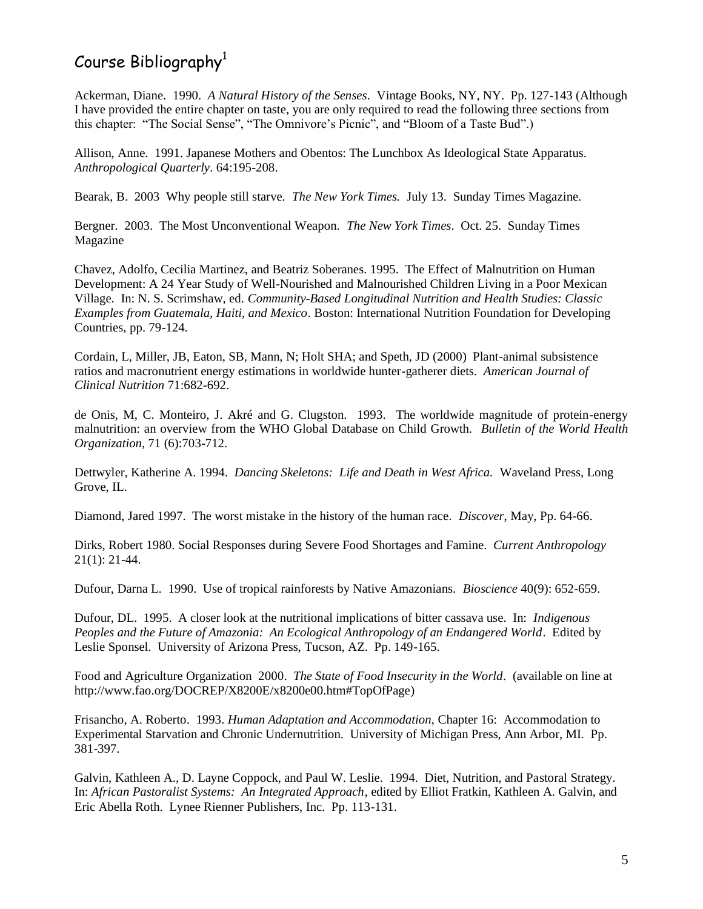# Course Bibliography<sup>1</sup>

Ackerman, Diane. 1990. *A Natural History of the Senses*. Vintage Books, NY, NY. Pp. 127-143 (Although I have provided the entire chapter on taste, you are only required to read the following three sections from this chapter: "The Social Sense", "The Omnivore"s Picnic", and "Bloom of a Taste Bud".)

Allison, Anne. 1991. Japanese Mothers and Obentos: The Lunchbox As Ideological State Apparatus. *Anthropological Quarterly*. 64:195-208.

Bearak, B. 2003 Why people still starve. *The New York Times.* July 13. Sunday Times Magazine.

Bergner. 2003. The Most Unconventional Weapon. *The New York Times*. Oct. 25. Sunday Times Magazine

Chavez, Adolfo, Cecilia Martinez, and Beatriz Soberanes. 1995. The Effect of Malnutrition on Human Development: A 24 Year Study of Well-Nourished and Malnourished Children Living in a Poor Mexican Village. In: N. S. Scrimshaw, ed. *Community-Based Longitudinal Nutrition and Health Studies: Classic Examples from Guatemala, Haiti, and Mexico*. Boston: International Nutrition Foundation for Developing Countries, pp. 79-124.

Cordain, L, Miller, JB, Eaton, SB, Mann, N; Holt SHA; and Speth, JD (2000) Plant-animal subsistence ratios and macronutrient energy estimations in worldwide hunter-gatherer diets. *American Journal of Clinical Nutrition* 71:682-692.

de Onis, M, C. Monteiro, J. Akré and G. Clugston. 1993. The worldwide magnitude of protein-energy malnutrition: an overview from the WHO Global Database on Child Growth. *Bulletin of the World Health Organization*, 71 (6):703-712.

Dettwyler, Katherine A. 1994. *Dancing Skeletons: Life and Death in West Africa.* Waveland Press, Long Grove, IL.

Diamond, Jared 1997. The worst mistake in the history of the human race. *Discover*, May, Pp. 64-66.

Dirks, Robert 1980. Social Responses during Severe Food Shortages and Famine. *Current Anthropology* 21(1): 21-44.

Dufour, Darna L. 1990. Use of tropical rainforests by Native Amazonians. *Bioscience* 40(9): 652-659.

Dufour, DL. 1995. A closer look at the nutritional implications of bitter cassava use. In: *Indigenous Peoples and the Future of Amazonia: An Ecological Anthropology of an Endangered World*. Edited by Leslie Sponsel. University of Arizona Press, Tucson, AZ. Pp. 149-165.

Food and Agriculture Organization 2000. *The State of Food Insecurity in the World*. (available on line at [http://www.fao.org/DOCREP/X8200E/x8200e00.htm#TopOfPage\)](http://www.fao.org/DOCREP/X8200E/x8200e00.htm#TopOfPage)

Frisancho, A. Roberto. 1993. *Human Adaptation and Accommodation*, Chapter 16: Accommodation to Experimental Starvation and Chronic Undernutrition. University of Michigan Press, Ann Arbor, MI. Pp. 381-397.

Galvin, Kathleen A., D. Layne Coppock, and Paul W. Leslie. 1994. Diet, Nutrition, and Pastoral Strategy. In: *African Pastoralist Systems: An Integrated Approach*, edited by Elliot Fratkin, Kathleen A. Galvin, and Eric Abella Roth. Lynee Rienner Publishers, Inc. Pp. 113-131.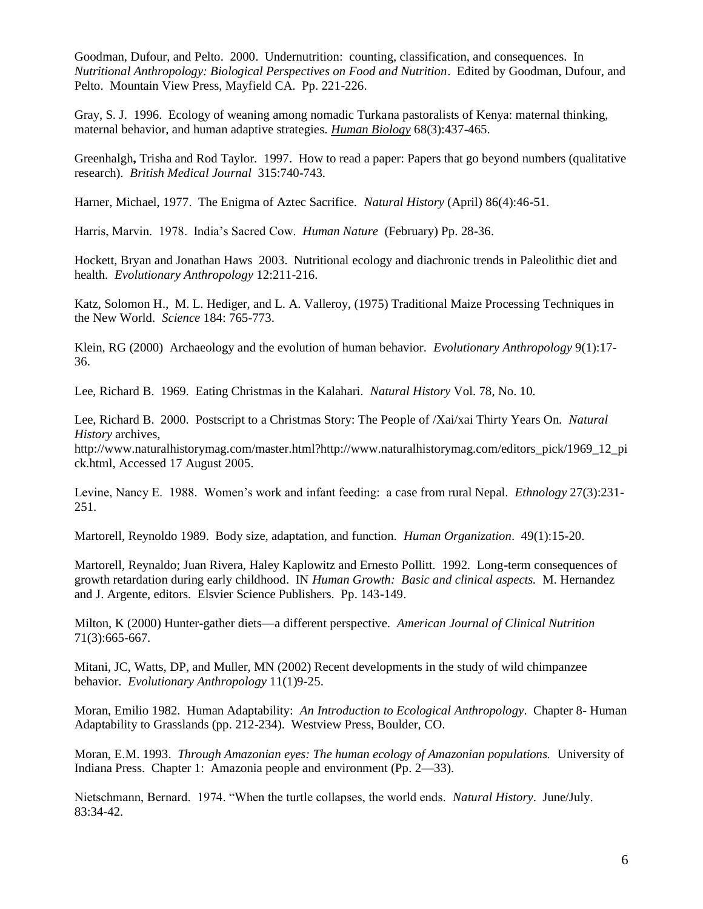Goodman, Dufour, and Pelto. 2000. Undernutrition: counting, classification, and consequences. In *Nutritional Anthropology: Biological Perspectives on Food and Nutrition*. Edited by Goodman, Dufour, and Pelto. Mountain View Press, Mayfield CA. Pp. 221-226.

Gray, S. J. 1996. Ecology of weaning among nomadic Turkana pastoralists of Kenya: maternal thinking, maternal behavior, and human adaptive strategies. *Human Biology* 68(3):437-465.

Greenhalgh**,** Trisha and Rod Taylor. 1997. How to read a paper: Papers that go beyond numbers (qualitative research). *British Medical Journal* 315:740-743.

Harner, Michael, 1977. The Enigma of Aztec Sacrifice. *Natural History* (April) 86(4):46-51.

Harris, Marvin. 1978. India"s Sacred Cow. *Human Nature* (February) Pp. 28-36.

Hockett, Bryan and Jonathan Haws 2003. Nutritional ecology and diachronic trends in Paleolithic diet and health. *Evolutionary Anthropology* 12:211-216.

Katz, Solomon H., M. L. Hediger, and L. A. Valleroy, (1975) Traditional Maize Processing Techniques in the New World. *Science* 184: 765-773.

Klein, RG (2000) Archaeology and the evolution of human behavior. *Evolutionary Anthropology* 9(1):17- 36.

Lee, Richard B. 1969. Eating Christmas in the Kalahari. *Natural History* Vol. 78, No. 10.

Lee, Richard B. 2000. Postscript to a Christmas Story: The People of /Xai/xai Thirty Years On. *Natural History* archives,

http://www.naturalhistorymag.com/master.html?http://www.naturalhistorymag.com/editors\_pick/1969\_12\_pi ck.html, Accessed 17 August 2005.

Levine, Nancy E. 1988. Women"s work and infant feeding: a case from rural Nepal. *Ethnology* 27(3):231- 251.

Martorell, Reynoldo 1989. Body size, adaptation, and function*. Human Organization*. 49(1):15-20.

Martorell, Reynaldo; Juan Rivera, Haley Kaplowitz and Ernesto Pollitt. 1992. Long-term consequences of growth retardation during early childhood. IN *Human Growth: Basic and clinical aspects.* M. Hernandez and J. Argente, editors. Elsvier Science Publishers. Pp. 143-149.

Milton, K (2000) Hunter-gather diets—a different perspective. *American Journal of Clinical Nutrition* 71(3):665-667.

Mitani, JC, Watts, DP, and Muller, MN (2002) Recent developments in the study of wild chimpanzee behavior. *Evolutionary Anthropology* 11(1)9-25.

Moran, Emilio 1982. Human Adaptability: *An Introduction to Ecological Anthropology*. Chapter 8- Human Adaptability to Grasslands (pp. 212-234). Westview Press, Boulder, CO.

Moran, E.M. 1993. *Through Amazonian eyes: The human ecology of Amazonian populations.* University of Indiana Press. Chapter 1: Amazonia people and environment (Pp. 2—33).

Nietschmann, Bernard. 1974. "When the turtle collapses, the world ends. *Natural History*. June/July. 83:34-42.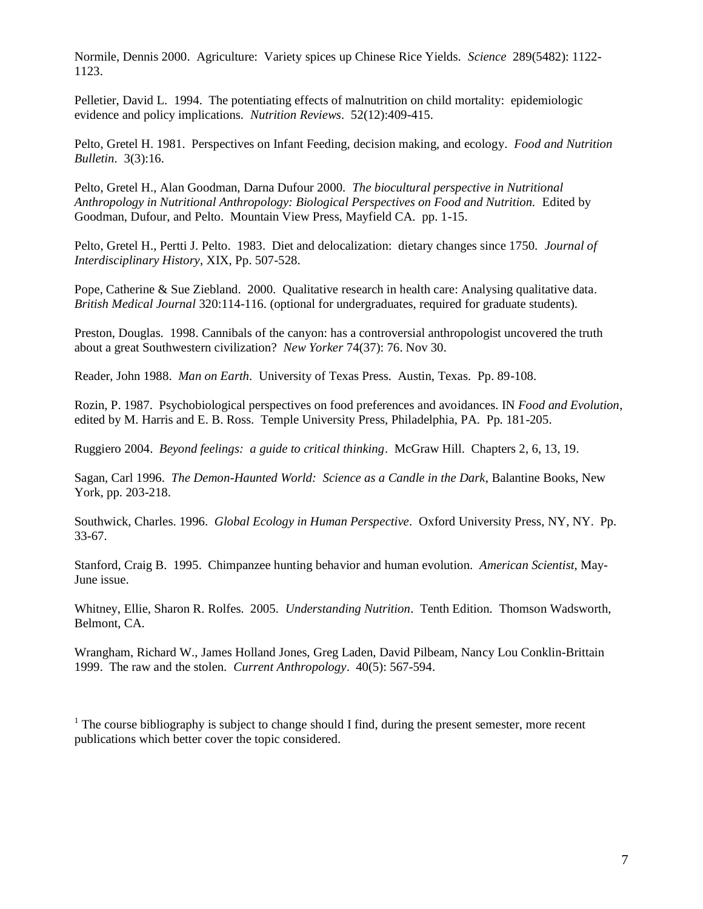Normile, Dennis 2000. Agriculture: Variety spices up Chinese Rice Yields. *Science* 289(5482): 1122- 1123.

Pelletier, David L. 1994. The potentiating effects of malnutrition on child mortality: epidemiologic evidence and policy implications. *Nutrition Reviews*. 52(12):409-415.

Pelto, Gretel H. 1981. Perspectives on Infant Feeding, decision making, and ecology. *Food and Nutrition Bulletin*. 3(3):16.

Pelto, Gretel H., Alan Goodman, Darna Dufour 2000. *The biocultural perspective in Nutritional Anthropology in Nutritional Anthropology: Biological Perspectives on Food and Nutrition.* Edited by Goodman, Dufour, and Pelto. Mountain View Press, Mayfield CA. pp. 1-15.

Pelto, Gretel H., Pertti J. Pelto. 1983. Diet and delocalization: dietary changes since 1750. *Journal of Interdisciplinary History*, XIX, Pp. 507-528.

Pope, Catherine & Sue Ziebland. 2000. Qualitative research in health care: Analysing qualitative data. *British Medical Journal* 320:114-116. (optional for undergraduates, required for graduate students).

Preston, Douglas. 1998. Cannibals of the canyon: has a controversial anthropologist uncovered the truth about a great Southwestern civilization? *New Yorker* 74(37): 76. Nov 30.

Reader, John 1988. *Man on Earth*. University of Texas Press. Austin, Texas. Pp. 89-108.

Rozin, P. 1987. Psychobiological perspectives on food preferences and avoidances. IN *Food and Evolution*, edited by M. Harris and E. B. Ross. Temple University Press, Philadelphia, PA. Pp. 181-205.

Ruggiero 2004. *Beyond feelings: a guide to critical thinking*. McGraw Hill. Chapters 2, 6, 13, 19.

Sagan, Carl 1996. *The Demon-Haunted World: Science as a Candle in the Dark*, Balantine Books, New York, pp. 203-218.

Southwick, Charles. 1996. *Global Ecology in Human Perspective*. Oxford University Press, NY, NY. Pp. 33-67.

Stanford, Craig B. 1995. Chimpanzee hunting behavior and human evolution. *American Scientist*, May-June issue.

Whitney, Ellie, Sharon R. Rolfes. 2005. *Understanding Nutrition*. Tenth Edition. Thomson Wadsworth, Belmont, CA.

Wrangham, Richard W., James Holland Jones, Greg Laden, David Pilbeam, Nancy Lou Conklin-Brittain 1999. The raw and the stolen. *Current Anthropology*. 40(5): 567-594.

 $<sup>1</sup>$  The course bibliography is subject to change should I find, during the present semester, more recent</sup> publications which better cover the topic considered.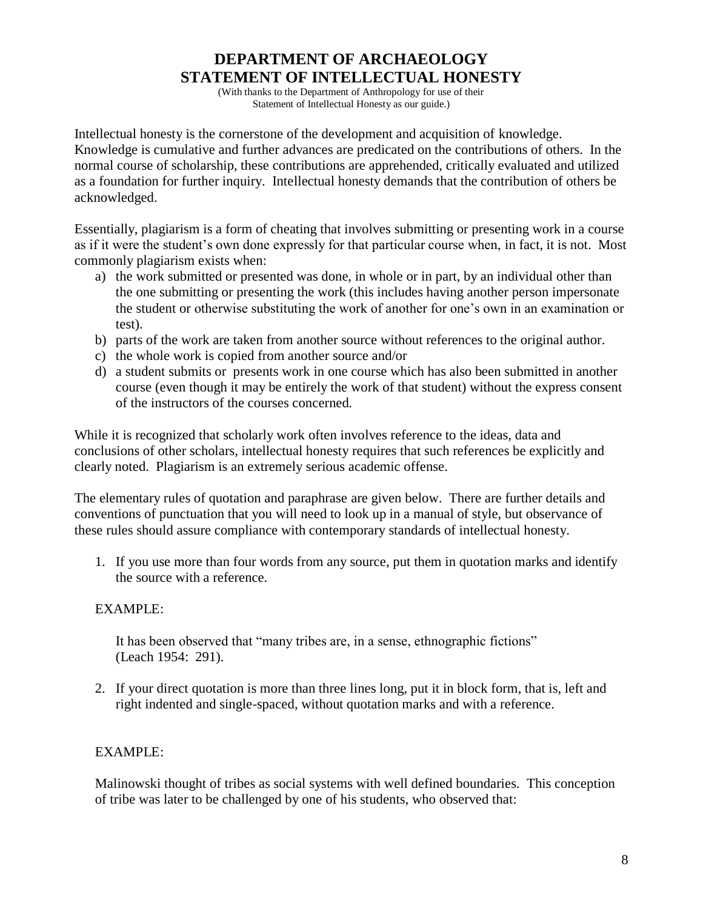## **DEPARTMENT OF ARCHAEOLOGY STATEMENT OF INTELLECTUAL HONESTY**

(With thanks to the Department of Anthropology for use of their Statement of Intellectual Honesty as our guide.)

Intellectual honesty is the cornerstone of the development and acquisition of knowledge. Knowledge is cumulative and further advances are predicated on the contributions of others. In the normal course of scholarship, these contributions are apprehended, critically evaluated and utilized as a foundation for further inquiry. Intellectual honesty demands that the contribution of others be acknowledged.

Essentially, plagiarism is a form of cheating that involves submitting or presenting work in a course as if it were the student"s own done expressly for that particular course when, in fact, it is not. Most commonly plagiarism exists when:

- a) the work submitted or presented was done, in whole or in part, by an individual other than the one submitting or presenting the work (this includes having another person impersonate the student or otherwise substituting the work of another for one"s own in an examination or test).
- b) parts of the work are taken from another source without references to the original author.
- c) the whole work is copied from another source and/or
- d) a student submits or presents work in one course which has also been submitted in another course (even though it may be entirely the work of that student) without the express consent of the instructors of the courses concerned.

While it is recognized that scholarly work often involves reference to the ideas, data and conclusions of other scholars, intellectual honesty requires that such references be explicitly and clearly noted. Plagiarism is an extremely serious academic offense.

The elementary rules of quotation and paraphrase are given below. There are further details and conventions of punctuation that you will need to look up in a manual of style, but observance of these rules should assure compliance with contemporary standards of intellectual honesty.

1. If you use more than four words from any source, put them in quotation marks and identify the source with a reference.

#### EXAMPLE:

It has been observed that "many tribes are, in a sense, ethnographic fictions" (Leach 1954: 291).

2. If your direct quotation is more than three lines long, put it in block form, that is, left and right indented and single-spaced, without quotation marks and with a reference.

#### EXAMPLE:

Malinowski thought of tribes as social systems with well defined boundaries. This conception of tribe was later to be challenged by one of his students, who observed that: